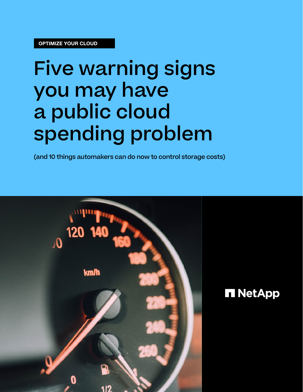# Five warning signs you may have a public cloud spending problem

(and 10 things automakers can do now to control storage costs)

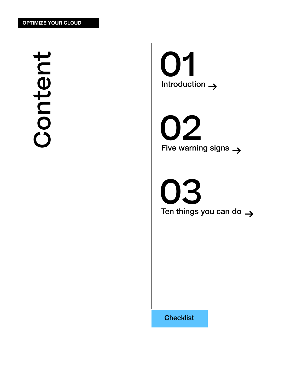Content Content

**Introduction**  $\rightarrow$ 01

02 Five warning signs  $\rightarrow$ 

03 Ten things you can do  $\rightarrow$ 

**[Checklist](https://go.digital.netapp.com/no-frills-guide-optimizing-your-cloud.html)**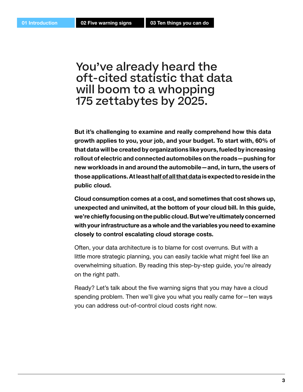### You've already heard the oft-cited statistic that data will boom to a whopping 175 zettabytes by 2025.

**But it's challenging to examine and really comprehend how this data growth applies to you, your job, and your budget. To start with, 60% of that data will be created by organizations like yours, fueled by increasing rollout of electric and connected automobiles on the roads—pushing for new workloads in and around the automobile—and, in turn, the users of those applications. At least [half of all that data](https://www.seagate.com/files/www-content/our-story/trends/files/idc-seagate-dataage-whitepaper.pdf) is expected to reside in the public cloud.** 

**Cloud consumption comes at a cost, and sometimes that cost shows up, unexpected and uninvited, at the bottom of your cloud bill. In this guide, we're chiefly focusing on the public cloud. But we're ultimately concerned with your infrastructure as a whole and the variables you need to examine closely to control escalating cloud storage costs.**

Often, your data architecture is to blame for cost overruns. But with a little more strategic planning, you can easily tackle what might feel like an overwhelming situation. By reading this step-by-step guide, you're already on the right path.

Ready? Let's talk about the five warning signs that you may have a cloud spending problem. Then we'll give you what you really came for—ten ways you can address out-of-control cloud costs right now.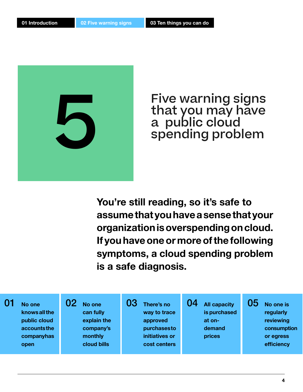

Five warning signs that you may have a public cloud spending problem

**You're still reading, so it's safe to assume that you have a sense that your organization is overspending on cloud. If you have one or more of the following symptoms, a cloud spending problem is a safe diagnosis.**

| initiatives or<br>companyhas<br>monthly<br>prices<br>or egress<br>cloud bills<br>efficiency<br>cost centers<br>open | No one<br>knows all the<br>public cloud<br>accountsthe | No one<br>can fully<br>explain the<br>company's | 03<br>There's no<br>way to trace<br>approved<br>purchasesto | 04<br><b>All capacity</b><br>is purchased<br>at on-<br>demand | 05<br>No one is<br>regularly<br>reviewing<br>consumption |
|---------------------------------------------------------------------------------------------------------------------|--------------------------------------------------------|-------------------------------------------------|-------------------------------------------------------------|---------------------------------------------------------------|----------------------------------------------------------|
|---------------------------------------------------------------------------------------------------------------------|--------------------------------------------------------|-------------------------------------------------|-------------------------------------------------------------|---------------------------------------------------------------|----------------------------------------------------------|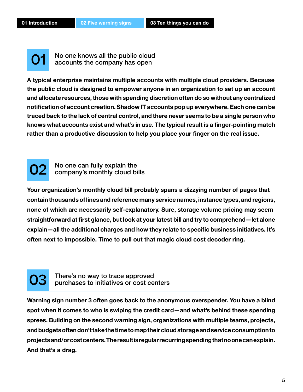01

No one knows all the public cloud accounts the company has open

**A typical enterprise maintains multiple accounts with multiple cloud providers. Because the public cloud is designed to empower anyone in an organization to set up an account and allocate resources, those with spending discretion often do so without any centralized notification of account creation. Shadow IT accounts pop up everywhere. Each one can be traced back to the lack of central control, and there never seems to be a single person who knows what accounts exist and what's in use. The typical result is a finger-pointing match rather than a productive discussion to help you place your finger on the real issue.** 



No one can fully explain the company's monthly cloud bills

**Your organization's monthly cloud bill probably spans a dizzying number of pages that contain thousands of lines and reference many service names, instance types, and regions, none of which are necessarily self-explanatory. Sure, storage volume pricing may seem straightforward at first glance, but look at your latest bill and try to comprehend—let alone explain—all the additional charges and how they relate to specific business initiatives. It's often next to impossible. Time to pull out that magic cloud cost decoder ring.** 



There's no way to trace approved purchases to initiatives or cost centers

**Warning sign number 3 often goes back to the anonymous overspender. You have a blind spot when it comes to who is swiping the credit card—and what's behind these spending sprees. Building on the second warning sign, organizations with multiple teams, projects, and budgets often don't take the time to map their cloud storage and service consumption to projects and/or cost centers. The result is regular recurring spending that no one can explain. And that's a drag.**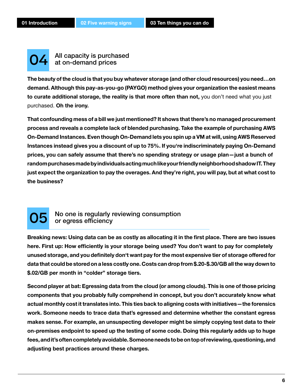04

All capacity is purchased at on-demand prices

**The beauty of the cloud is that you buy whatever storage (and other cloud resources) you need…on demand. Although this pay-as-you-go (PAYGO) method gives your organization the easiest means to curate additional storage, the reality is that more often than not,** you don't need what you just purchased. **Oh the irony.**

**That confounding mess of a bill we just mentioned? It shows that there's no managed procurement process and reveals a complete lack of blended purchasing. Take the example of purchasing AWS On-Demand Instances. Even though On-Demand lets you spin up a VM at will, using AWS Reserved Instances instead gives you a discount of up to 75%. If you're indiscriminately paying On-Demand prices, you can safely assume that there's no spending strategy or usage plan—just a bunch of random purchases made by individuals acting much like your friendly neighborhood shadow IT. They just expect the organization to pay the overages. And they're right, you will pay, but at what cost to the business?**



#### No one is regularly reviewing consumption or egress efficiency

**Breaking news: Using data can be as costly as allocating it in the first place. There are two issues here. First up: How efficiently is your storage being used? You don't want to pay for completely unused storage, and you definitely don't want pay for the most expensive tier of storage offered for data that could be stored on a less costly one. Costs can drop from \$.20-\$.30/GB all the way down to \$.02/GB per month in "colder" storage tiers.** 

**Second player at bat: Egressing data from the cloud (or among clouds). This is one of those pricing components that you probably fully comprehend in concept, but you don't accurately know what actual monthly cost it translates into. This ties back to aligning costs with initiatives—the forensics work. Someone needs to trace data that's egressed and determine whether the constant egress makes sense. For example, an unsuspecting developer might be simply copying test data to their on-premises endpoint to speed up the testing of some code. Doing this regularly adds up to huge fees, and it's often completely avoidable. Someone needs to be on top of reviewing, questioning, and adjusting best practices around these charges.**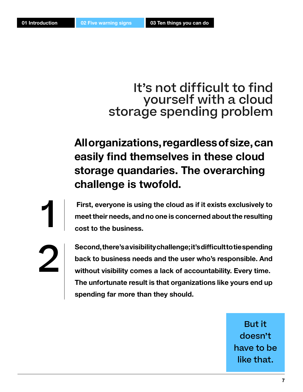1

2

### It's not difficult to find yourself with a cloud storage spending problem

**All organizations, regardless of size, can easily find themselves in these cloud storage quandaries. The overarching challenge is twofold.**

 **First, everyone is using the cloud as if it exists exclusively to meet their needs, and no one is concerned about the resulting cost to the business.** 

**Second, there's a visibility challenge; it's difficult to tie spending back to business needs and the user who's responsible. And without visibility comes a lack of accountability. Every time. The unfortunate result is that organizations like yours end up spending far more than they should.** 

> But it doesn't have to be like that.

**7**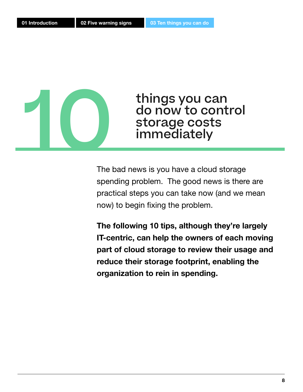

do now to control storage costs immediately

The bad news is you have a cloud storage spending problem. The good news is there are practical steps you can take now (and we mean now) to begin fixing the problem.

**The following 10 tips, although they're largely IT-centric, can help the owners of each moving part of cloud storage to review their usage and reduce their storage footprint, enabling the organization to rein in spending.**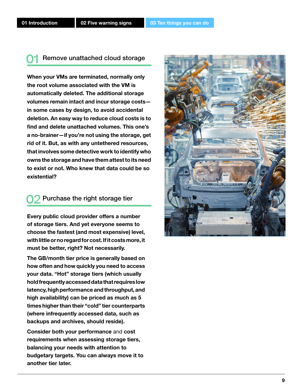#### Remove unattached cloud storage <u>01</u>

**When your VMs are terminated, normally only the root volume associated with the VM is automatically deleted. The additional storage volumes remain intact and incur storage costs in some cases by design, to avoid accidental deletion. An easy way to reduce cloud costs is to find and delete unattached volumes. This one's a no-brainer—if you're not using the storage, get rid of it. But, as with any untethered resources, that involves some detective work to identify who owns the storage and have them attest to its need to exist or not. Who knew that data could be so existential?**

#### Purchase the right storage tier 02

**Every public cloud provider offers a number of storage tiers. And yet everyone seems to choose the fastest (and most expensive) level, with little or no regard for cost. If it costs more, it must be better, right? Not necessarily.** 

**The GB/month tier price is generally based on how often and how quickly you need to access your data. "Hot" storage tiers (which usually hold frequently accessed data that requires low latency, high performance and throughput, and high availability) can be priced as much as 5 times higher than their "cold" tier counterparts (where infrequently accessed data, such as backups and archives, should reside).** 

**Consider both your performance** and **cost requirements when assessing storage tiers, balancing your needs with attention to budgetary targets. You can always move it to another tier later.**

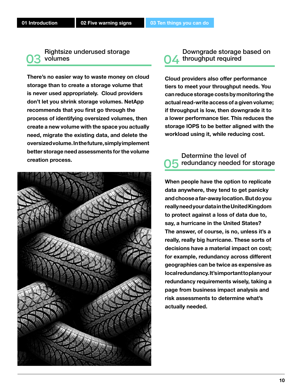#### Rightsize underused storage volumes 03 volumes 04 throughput required

**There's no easier way to waste money on cloud storage than to create a storage volume that is never used appropriately. Cloud providers don't let you shrink storage volumes. NetApp recommends that you first go through the process of identifying oversized volumes, then create a new volume with the space you actually need, migrate the existing data, and delete the oversized volume. In the future, simply implement better storage need assessments for the volume creation process.** 



# Downgrade storage based on

**Cloud providers also offer performance tiers to meet your throughput needs. You can reduce storage costs by monitoring the actual read-write access of a given volume; if throughput is low, then downgrade it to a lower performance tier. This reduces the storage IOPS to be better aligned with the workload using it, while reducing cost.** 

#### Determine the level of redundancy needed for storage 05

**When people have the option to replicate data anywhere, they tend to get panicky and choose a far-away location. But do you really need your data in the United Kingdom to protect against a loss of data due to, say, a hurricane in the United States? The answer, of course, is no, unless it's a really, really big hurricane. These sorts of decisions have a material impact on cost; for example, redundancy across different geographies can be twice as expensive as local redundancy. It's important to plan your redundancy requirements wisely, taking a page from business impact analysis and risk assessments to determine what's actually needed.**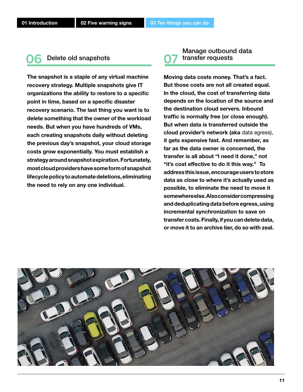### O6 Delete old snapshots C7 transfer requests

**The snapshot is a staple of any virtual machine recovery strategy. Multiple snapshots give IT organizations the ability to restore to a specific point in time, based on a specific disaster recovery scenario. The last thing you want is to delete something that the owner of the workload needs. But when you have hundreds of VMs, each creating snapshots daily without deleting the previous day's snapshot, your cloud storage costs grow exponentially. You must establish a strategy around snapshot expiration. Fortunately, most cloud providers have some form of snapshot lifecycle policy to automate deletions, eliminating the need to rely on any one individual.** 

# Manage outbound data

**Moving data costs money. That's a fact. But those costs are not all created equal. In the cloud, the cost of transferring data depends on the location of the source and the destination cloud servers. Inbound traffic is normally free (or close enough). But when data is transferred outside the cloud provider's network (aka** data egress), **it gets expensive fast. And remember, as far as the data owner is concerned, the transfer is all about "I need it done," not "it's cost effective to do it this way." To address this issue, encourage users to store data as close to where it's actually used as possible, to eliminate the need to move it somewhere else. Also consider compressing and deduplicating data before egress, using incremental synchronization to save on transfer costs. Finally, if you can delete data, or move it to an archive tier, do so with zeal.**

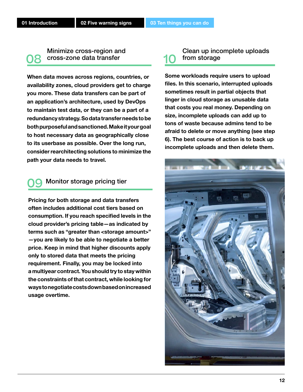Minimize cross-region and cross-zone data transfer 08

**When data moves across regions, countries, or availability zones, cloud providers get to charge you more. These data transfers can be part of an application's architecture, used by DevOps to maintain test data, or they can be a part of a redundancy strategy. So data transfer needs to be both purposeful and sanctioned. Make it your goal to host necessary data as geographically close to its userbase as possible. Over the long run, consider rearchitecting solutions to minimize the path your data needs to travel.** 

#### Monitor storage pricing tier <u>09</u>

**Pricing for both storage and data transfers often includes additional cost tiers based on consumption. If you reach specified levels in the cloud provider's pricing table—as indicated by terms such as "greater than <storage amount>" —you are likely to be able to negotiate a better price. Keep in mind that higher discounts apply only to stored data that meets the pricing requirement. Finally, you may be locked into a multiyear contract. You should try to stay within the constraints of that contract, while looking for ways to negotiate costs down based on increased usage overtime.** 

#### Clean up incomplete uploads from storage

**Some workloads require users to upload files. In this scenario, interrupted uploads sometimes result in partial objects that linger in cloud storage as unusable data that costs you real money. Depending on size, incomplete uploads can add up to tons of waste because admins tend to be afraid to delete or move anything (see step 6). The best course of action is to back up incomplete uploads and then delete them.** 

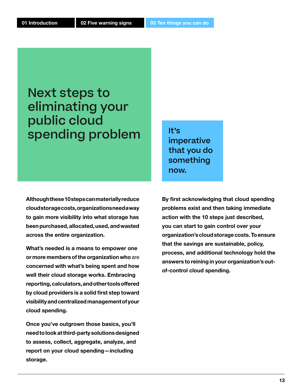### Next steps to eliminating your public cloud spending problem

**Although these 10 steps can materially reduce cloud storage costs, organizations need a way to gain more visibility into what storage has been purchased, allocated, used, and wasted across the entire organization.**

**What's needed is a means to empower one or more members of the organization who** are **concerned with what's being spent and how well their cloud storage works. Embracing reporting, calculators, and other tools offered by cloud providers is a solid first step toward visibility and centralized management of your cloud spending.** 

**Once you've outgrown those basics, you'll need to look at third-party solutions designed to assess, collect, aggregate, analyze, and report on your cloud spending—including storage.** 

It's imperative that you do something now.

**By first acknowledging that cloud spending problems exist and then taking immediate action with the 10 steps just described, you can start to gain control over your organization's cloud storage costs. To ensure that the savings are sustainable, policy, process, and additional technology hold the answers to reining in your organization's outof-control cloud spending.**